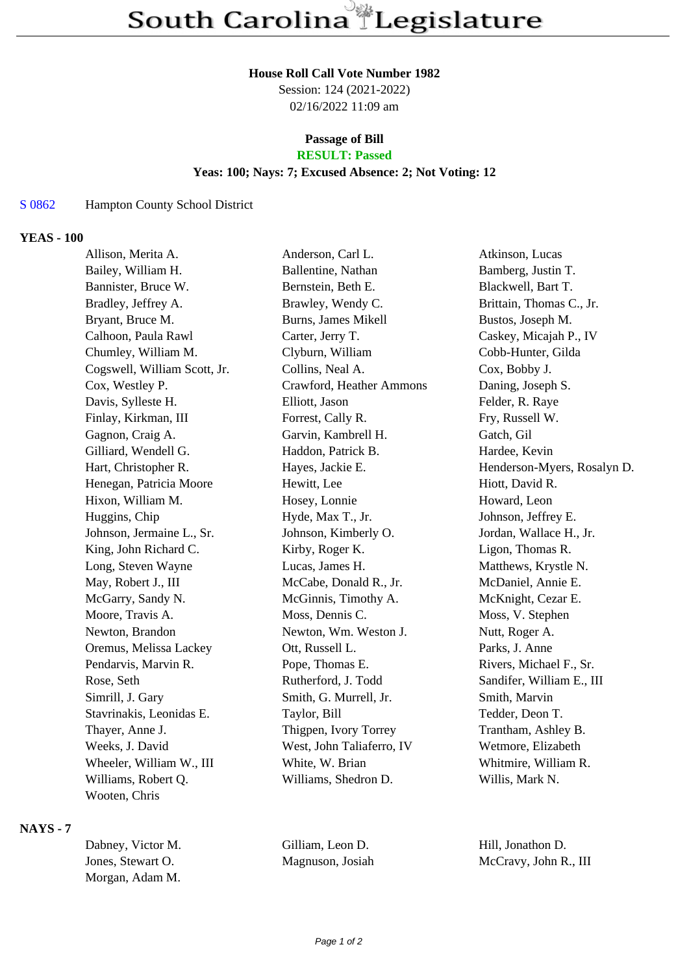#### **House Roll Call Vote Number 1982**

Session: 124 (2021-2022) 02/16/2022 11:09 am

## **Passage of Bill**

# **RESULT: Passed**

### **Yeas: 100; Nays: 7; Excused Absence: 2; Not Voting: 12**

#### S 0862 Hampton County School District

## **YEAS - 100**

| Allison, Merita A.           | Anderson, Carl L.          | Atkinson, Lucas             |
|------------------------------|----------------------------|-----------------------------|
| Bailey, William H.           | Ballentine, Nathan         | Bamberg, Justin T.          |
| Bannister, Bruce W.          | Bernstein, Beth E.         | Blackwell, Bart T.          |
| Bradley, Jeffrey A.          | Brawley, Wendy C.          | Brittain, Thomas C., Jr.    |
| Bryant, Bruce M.             | <b>Burns, James Mikell</b> | Bustos, Joseph M.           |
| Calhoon, Paula Rawl          | Carter, Jerry T.           | Caskey, Micajah P., IV      |
| Chumley, William M.          | Clyburn, William           | Cobb-Hunter, Gilda          |
| Cogswell, William Scott, Jr. | Collins, Neal A.           | Cox, Bobby J.               |
| Cox, Westley P.              | Crawford, Heather Ammons   | Daning, Joseph S.           |
| Davis, Sylleste H.           | Elliott, Jason             | Felder, R. Raye             |
| Finlay, Kirkman, III         | Forrest, Cally R.          | Fry, Russell W.             |
| Gagnon, Craig A.             | Garvin, Kambrell H.        | Gatch, Gil                  |
| Gilliard, Wendell G.         | Haddon, Patrick B.         | Hardee, Kevin               |
| Hart, Christopher R.         | Hayes, Jackie E.           | Henderson-Myers, Rosalyn D. |
| Henegan, Patricia Moore      | Hewitt, Lee                | Hiott, David R.             |
| Hixon, William M.            | Hosey, Lonnie              | Howard, Leon                |
| Huggins, Chip                | Hyde, Max T., Jr.          | Johnson, Jeffrey E.         |
| Johnson, Jermaine L., Sr.    | Johnson, Kimberly O.       | Jordan, Wallace H., Jr.     |
| King, John Richard C.        | Kirby, Roger K.            | Ligon, Thomas R.            |
| Long, Steven Wayne           | Lucas, James H.            | Matthews, Krystle N.        |
| May, Robert J., III          | McCabe, Donald R., Jr.     | McDaniel, Annie E.          |
| McGarry, Sandy N.            | McGinnis, Timothy A.       | McKnight, Cezar E.          |
| Moore, Travis A.             | Moss, Dennis C.            | Moss, V. Stephen            |
| Newton, Brandon              | Newton, Wm. Weston J.      | Nutt, Roger A.              |
| Oremus, Melissa Lackey       | Ott, Russell L.            | Parks, J. Anne              |
| Pendarvis, Marvin R.         | Pope, Thomas E.            | Rivers, Michael F., Sr.     |
| Rose, Seth                   | Rutherford, J. Todd        | Sandifer, William E., III   |
| Simrill, J. Gary             | Smith, G. Murrell, Jr.     | Smith, Marvin               |
| Stavrinakis, Leonidas E.     | Taylor, Bill               | Tedder, Deon T.             |
| Thayer, Anne J.              | Thigpen, Ivory Torrey      | Trantham, Ashley B.         |
| Weeks, J. David              | West, John Taliaferro, IV  | Wetmore, Elizabeth          |
| Wheeler, William W., III     | White, W. Brian            | Whitmire, William R.        |
| Williams, Robert Q.          | Williams, Shedron D.       | Willis, Mark N.             |
| Wooten, Chris                |                            |                             |

### **NAYS - 7**

| Dabney, Victor M. | Gilliam. Leon D. | Hill, Jonathon D.     |
|-------------------|------------------|-----------------------|
| Jones, Stewart O. | Magnuson, Josiah | McCravy, John R., III |
| Morgan, Adam M.   |                  |                       |